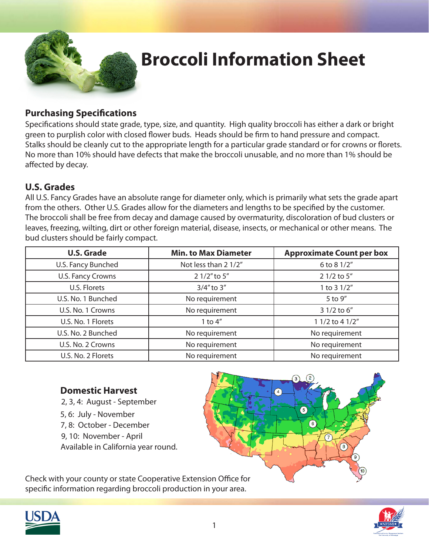

## **Broccoli Information Sheet**

### **Purchasing Specifications**

Specifications should state grade, type, size, and quantity. High quality broccoli has either a dark or bright green to purplish color with closed flower buds. Heads should be firm to hand pressure and compact. Stalks should be cleanly cut to the appropriate length for a particular grade standard or for crowns or florets. No more than 10% should have defects that make the broccoli unusable, and no more than 1% should be affected by decay.

#### **U.S. Grades**

All U.S. Fancy Grades have an absolute range for diameter only, which is primarily what sets the grade apart from the others. Other U.S. Grades allow for the diameters and lengths to be specified by the customer. The broccoli shall be free from decay and damage caused by overmaturity, discoloration of bud clusters or leaves, freezing, wilting, dirt or other foreign material, disease, insects, or mechanical or other means. The bud clusters should be fairly compact.

| <b>U.S. Grade</b>        | <b>Min. to Max Diameter</b> | <b>Approximate Count per box</b> |
|--------------------------|-----------------------------|----------------------------------|
| U.S. Fancy Bunched       | Not less than 2 1/2"        | 6 to 8 1/2"                      |
| <b>U.S. Fancy Crowns</b> | 2 1/2" to 5"                | 2 1/2 to 5"                      |
| U.S. Florets             | $3/4"$ to $3"$              | 1 to 3 1/2"                      |
| U.S. No. 1 Bunched       | No requirement              | 5 to 9"                          |
| U.S. No. 1 Crowns        | No requirement              | 3 1/2 to 6"                      |
| U.S. No. 1 Florets       | 1 to $4''$                  | 1 1/2 to 4 1/2"                  |
| U.S. No. 2 Bunched       | No requirement              | No requirement                   |
| U.S. No. 2 Crowns        | No requirement              | No requirement                   |
| U.S. No. 2 Florets       | No requirement              | No requirement                   |

### **Domestic Harvest**

- 2, 3, 4: August September
- 5, 6: July November
- 7, 8: October December
- 9, 10: November April
- Available in California year round.



Check with your county or state Cooperative Extension Office for specific information regarding broccoli production in your area.